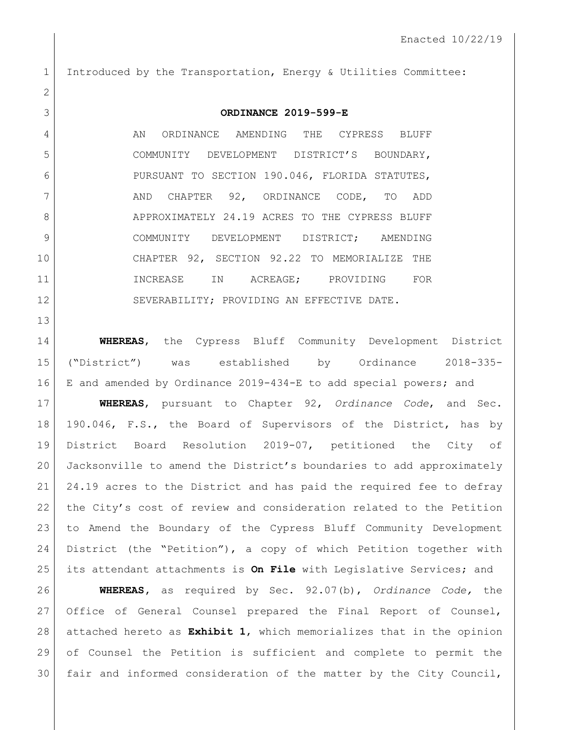Introduced by the Transportation, Energy & Utilities Committee: **ORDINANCE 2019-599-E** 4 AN ORDINANCE AMENDING THE CYPRESS BLUFF COMMUNITY DEVELOPMENT DISTRICT'S BOUNDARY, PURSUANT TO SECTION 190.046, FLORIDA STATUTES, AND CHAPTER 92, ORDINANCE CODE, TO ADD 8 APPROXIMATELY 24.19 ACRES TO THE CYPRESS BLUFF 9 COMMUNITY DEVELOPMENT DISTRICT; AMENDING CHAPTER 92, SECTION 92.22 TO MEMORIALIZE THE 11 INCREASE IN ACREAGE; PROVIDING FOR 12 SEVERABILITY; PROVIDING AN EFFECTIVE DATE. **WHEREAS**, the Cypress Bluff Community Development District ("District") was established by Ordinance 2018-335- E and amended by Ordinance 2019-434-E to add special powers; and **WHEREAS**, pursuant to Chapter 92, *Ordinance Code*, and Sec. 190.046, F.S., the Board of Supervisors of the District, has by District Board Resolution 2019-07, petitioned the City of Jacksonville to amend the District's boundaries to add approximately 24.19 acres to the District and has paid the required fee to defray the City's cost of review and consideration related to the Petition to Amend the Boundary of the Cypress Bluff Community Development

 District (the "Petition"), a copy of which Petition together with its attendant attachments is **On File** with Legislative Services; and

 **WHEREAS,** as required by Sec. 92.07(b), *Ordinance Code,* the Office of General Counsel prepared the Final Report of Counsel, attached hereto as **Exhibit 1**, which memorializes that in the opinion of Counsel the Petition is sufficient and complete to permit the fair and informed consideration of the matter by the City Council,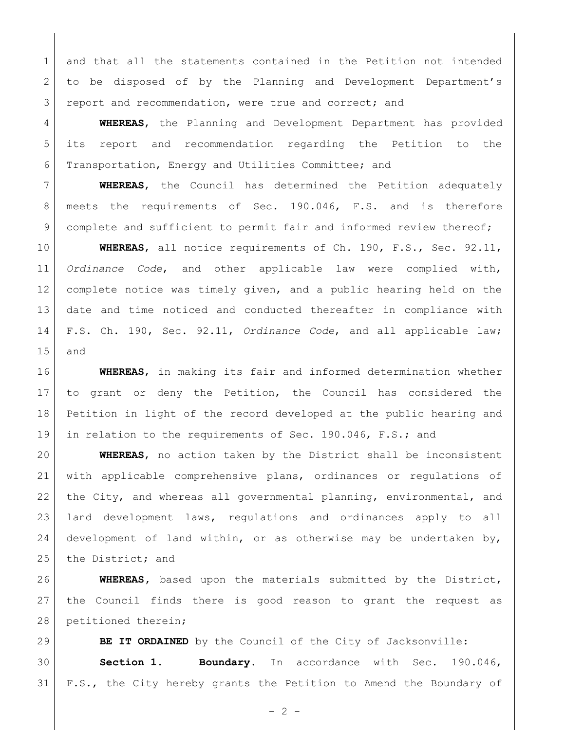1 and that all the statements contained in the Petition not intended 2 to be disposed of by the Planning and Development Department's 3 report and recommendation, were true and correct; and

 **WHEREAS**, the Planning and Development Department has provided its report and recommendation regarding the Petition to the Transportation, Energy and Utilities Committee; and

 **WHEREAS**, the Council has determined the Petition adequately meets the requirements of Sec. 190.046, F.S. and is therefore 9 complete and sufficient to permit fair and informed review thereof;

 **WHEREAS**, all notice requirements of Ch. 190, F.S., Sec. 92.11, *Ordinance Code*, and other applicable law were complied with, complete notice was timely given, and a public hearing held on the date and time noticed and conducted thereafter in compliance with F.S. Ch. 190, Sec. 92.11, *Ordinance Code*, and all applicable law; and

 **WHEREAS**, in making its fair and informed determination whether to grant or deny the Petition, the Council has considered the Petition in light of the record developed at the public hearing and in relation to the requirements of Sec. 190.046, F.S.; and

 **WHEREAS**, no action taken by the District shall be inconsistent with applicable comprehensive plans, ordinances or regulations of 22 | the City, and whereas all governmental planning, environmental, and land development laws, regulations and ordinances apply to all 24 development of land within, or as otherwise may be undertaken by, 25 the District; and

 **WHEREAS,** based upon the materials submitted by the District, the Council finds there is good reason to grant the request as 28 petitioned therein;

 **BE IT ORDAINED** by the Council of the City of Jacksonville: **Section 1. Boundary.** In accordance with Sec. 190.046, F.S., the City hereby grants the Petition to Amend the Boundary of

 $- 2 -$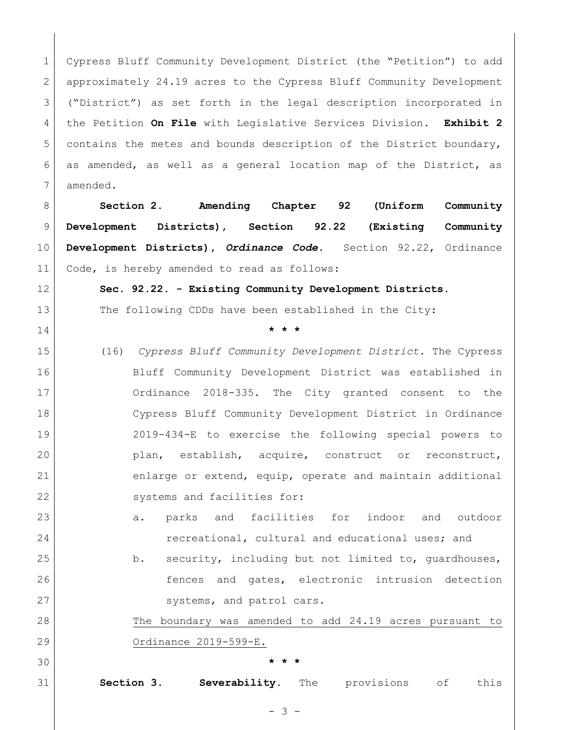1 Cypress Bluff Community Development District (the "Petition") to add approximately 24.19 acres to the Cypress Bluff Community Development ("District") as set forth in the legal description incorporated in the Petition **On File** with Legislative Services Division**. Exhibit 2**  contains the metes and bounds description of the District boundary, as amended, as well as a general location map of the District, as amended.

 **Section 2. Amending Chapter 92 (Uniform Community Development Districts), Section 92.22 (Existing Community Development Districts),** *Ordinance Code***.** Section 92.22, Ordinance Code, is hereby amended to read as follows:

**Sec. 92.22. - Existing Community Development Districts.** 

**\* \* \*** 

13 The following CDDs have been established in the City:

 (16) *Cypress Bluff Community Development District.* The Cypress Bluff Community Development District was established in Ordinance 2018-335. The City granted consent to the Cypress Bluff Community Development District in Ordinance 2019-434-E to exercise the following special powers to plan, establish, acquire, construct or reconstruct, 21 enlarge or extend, equip, operate and maintain additional 22 systems and facilities for:

23 a. parks and facilities for indoor and outdoor **recreational, cultural and educational uses; and** 

25 b. security, including but not limited to, quardhouses, 26 fences and gates, electronic intrusion detection 27 systems, and patrol cars.

 The boundary was amended to add 24.19 acres pursuant to Ordinance 2019-599-E.

## **\* \* \***

**Section 3. Severability.** The provisions of this